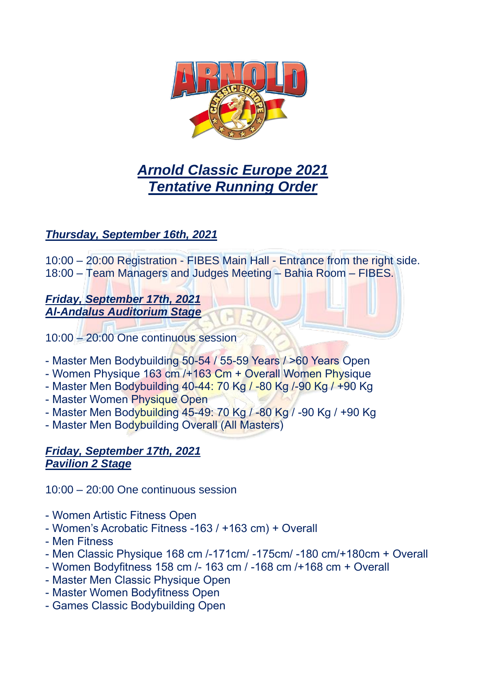

# *Arnold Classic Europe 2021 Tentative Running Order*

# *Thursday, September 16th, 2021*

10:00 – 20:00 Registration - FIBES Main Hall - Entrance from the right side. 18:00 – Team Managers and Judges Meeting – Bahia Room – FIBES.

#### *Friday, September 17th, 2021 Al-Andalus Auditorium Stage*

- 10:00 20:00 One continuous session
- Master Men Bodybuilding 50-54 / 55-59 Years / >60 Years Open
- Women Physique 163 cm /+163 Cm + Overall Women Physique
- Master Men Bodybuilding 40-44: 70 Kg / -80 Kg /-90 Kg / +90 Kg
- Master Women Physique Open
- Master Men Bodybuilding 45-49: 70 Kg / -80 Kg / -90 Kg / +90 Kg
- Master Men Bodybuilding Overall (All Masters)

# *Friday, September 17th, 2021 Pavilion 2 Stage*

10:00 – 20:00 One continuous session

- Women Artistic Fitness Open
- Women's Acrobatic Fitness -163 / +163 cm) + Overall
- Men Fitness
- Men Classic Physique 168 cm /-171cm/ -175cm/ -180 cm/+180cm + Overall
- Women Bodyfitness 158 cm /- 163 cm / -168 cm /+168 cm + Overall
- Master Men Classic Physique Open
- Master Women Bodyfitness Open
- Games Classic Bodybuilding Open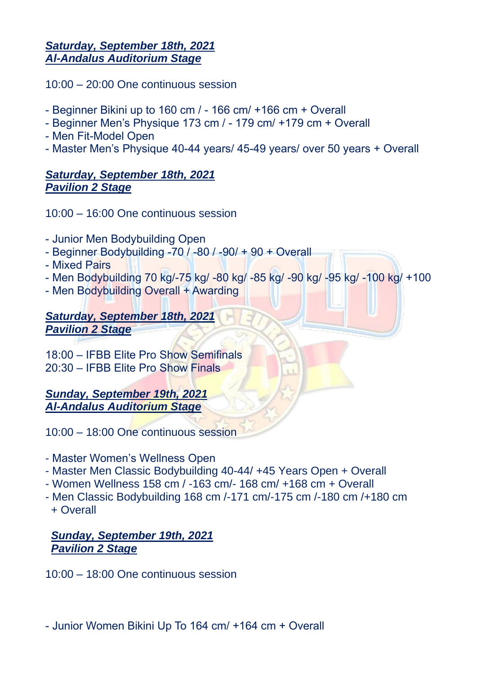#### *Saturday, September 18th, 2021 Al-Andalus Auditorium Stage*

10:00 – 20:00 One continuous session

- Beginner Bikini up to 160 cm / 166 cm/ +166 cm + Overall
- Beginner Men's Physique 173 cm / 179 cm/ +179 cm + Overall
- Men Fit-Model Open
- Master Men's Physique 40-44 years/ 45-49 years/ over 50 years + Overall

# *Saturday, September 18th, 2021 Pavilion 2 Stage*

10:00 – 16:00 One continuous session

- Junior Men Bodybuilding Open
- Beginner Bodybuilding -70 / -80 / -90/ + 90 + Overall
- Mixed Pairs
- Men Bodybuilding 70 kg/-75 kg/ -80 kg/ -85 kg/ -90 kg/ -95 kg/ -100 kg/ +100
- Men Bodybuilding Overall + Awarding

#### *Saturday, September 18th, 2021 Pavilion 2 Stage*

18:00 – IFBB Elite Pro Show Semifinals 20:30 – IFBB Elite Pro Show Finals

*Sunday, September 19th, 2021 Al-Andalus Auditorium Stage*

10:00 – 18:00 One continuous session

- Master Women's Wellness Open
- Master Men Classic Bodybuilding 40-44/ +45 Years Open + Overall
- Women Wellness 158 cm / -163 cm/- 168 cm/ +168 cm + Overall
- Men Classic Bodybuilding 168 cm /-171 cm/-175 cm /-180 cm /+180 cm + Overall

# *Sunday, September 19th, 2021 Pavilion 2 Stage*

10:00 – 18:00 One continuous session

- Junior Women Bikini Up To 164 cm/ +164 cm + Overall